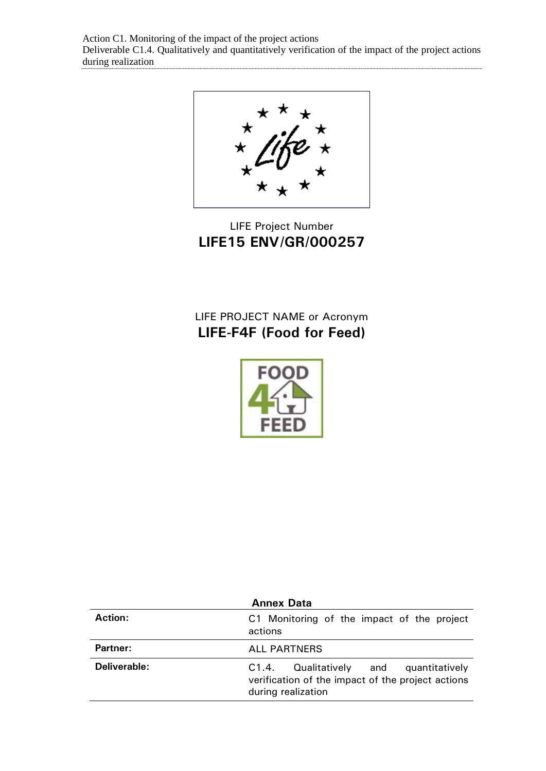Action C1. Monitoring of the impact of the project actions Deliverable C1.4. Qualitatively and quantitatively verification of the impact of the project actions during realization

LIFE Project Number **LIFE15 ENV/GR/000257**

## LIFE PROJECT NAME or Acronym **LIFE-F4F (Food for Feed)**



| <b>Annex Data</b> |                                                                                                                      |  |
|-------------------|----------------------------------------------------------------------------------------------------------------------|--|
| Action:           | C1 Monitoring of the impact of the project<br>actions                                                                |  |
| Partner:          | <b>ALL PARTNERS</b>                                                                                                  |  |
| Deliverable:      | Qualitatively and quantitatively<br>C1.4.<br>verification of the impact of the project actions<br>during realization |  |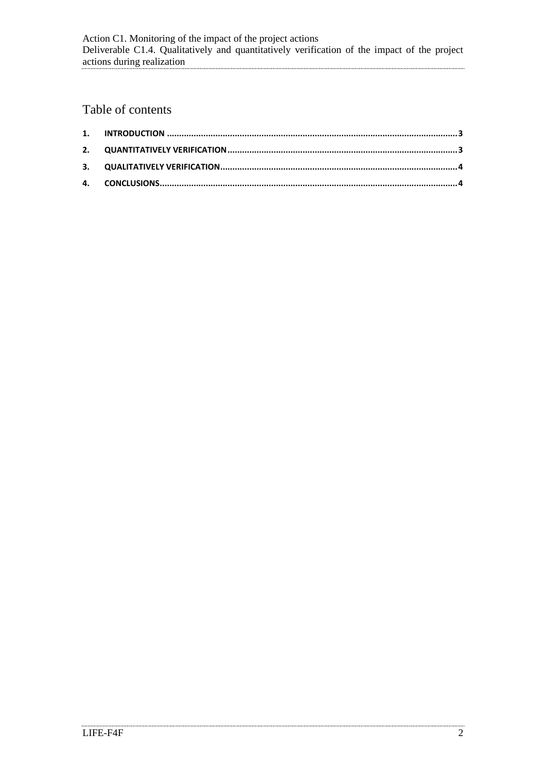# Table of contents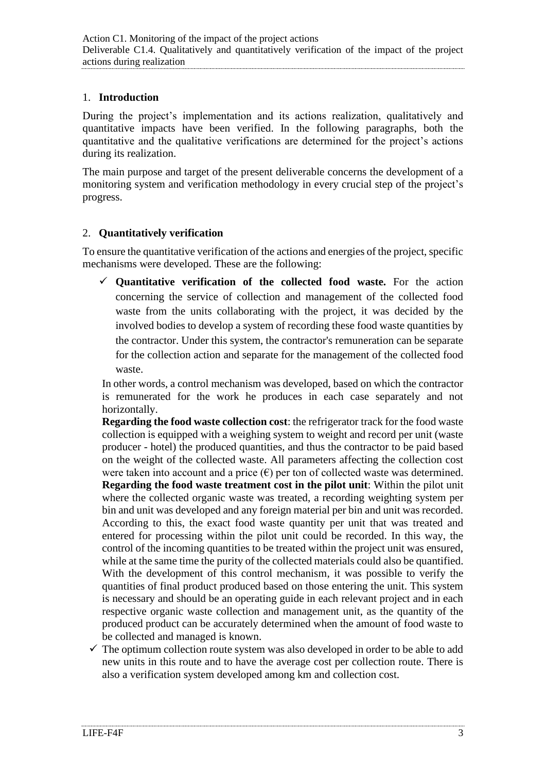#### <span id="page-2-0"></span>1. **Introduction**

During the project's implementation and its actions realization, qualitatively and quantitative impacts have been verified. In the following paragraphs, both the quantitative and the qualitative verifications are determined for the project's actions during its realization.

The main purpose and target of the present deliverable concerns the development of a monitoring system and verification methodology in every crucial step of the project's progress.

#### <span id="page-2-1"></span>2. **Quantitatively verification**

To ensure the quantitative verification of the actions and energies of the project, specific mechanisms were developed. These are the following:

✓ **Quantitative verification of the collected food waste.** For the action concerning the service of collection and management of the collected food waste from the units collaborating with the project, it was decided by the involved bodies to develop a system of recording these food waste quantities by the contractor. Under this system, the contractor's remuneration can be separate for the collection action and separate for the management of the collected food waste.

In other words, a control mechanism was developed, based on which the contractor is remunerated for the work he produces in each case separately and not horizontally.

**Regarding the food waste collection cost**: the refrigerator track for the food waste collection is equipped with a weighing system to weight and record per unit (waste producer - hotel) the produced quantities, and thus the contractor to be paid based on the weight of the collected waste. All parameters affecting the collection cost were taken into account and a price  $(\epsilon)$  per ton of collected waste was determined. **Regarding the food waste treatment cost in the pilot unit**: Within the pilot unit where the collected organic waste was treated, a recording weighting system per bin and unit was developed and any foreign material per bin and unit was recorded. According to this, the exact food waste quantity per unit that was treated and entered for processing within the pilot unit could be recorded. In this way, the control of the incoming quantities to be treated within the project unit was ensured, while at the same time the purity of the collected materials could also be quantified. With the development of this control mechanism, it was possible to verify the quantities of final product produced based on those entering the unit. This system is necessary and should be an operating guide in each relevant project and in each respective organic waste collection and management unit, as the quantity of the produced product can be accurately determined when the amount of food waste to be collected and managed is known.

 $\checkmark$  The optimum collection route system was also developed in order to be able to add new units in this route and to have the average cost per collection route. There is also a verification system developed among km and collection cost.